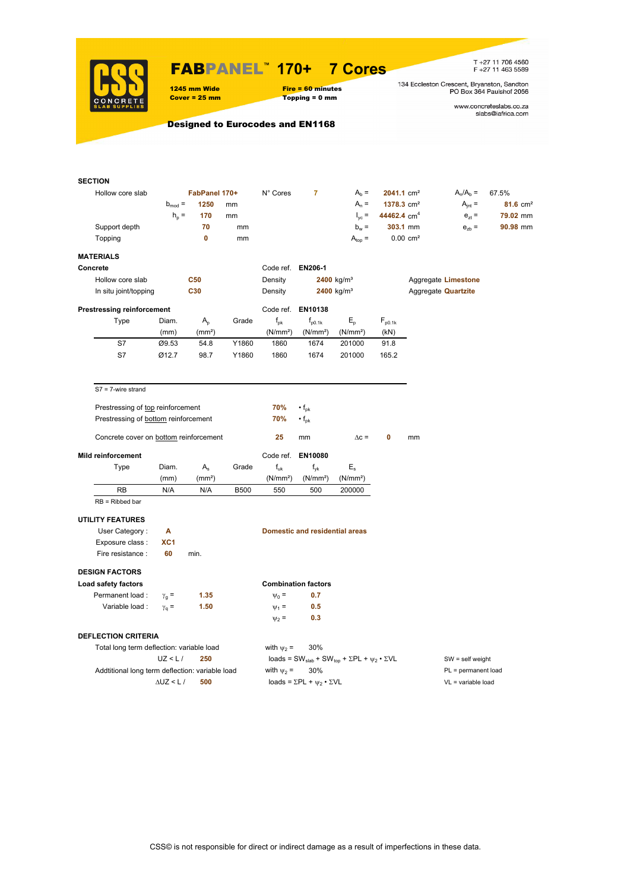

### FABPANEL**™ 170+ 7 Cores**

1245 mm Wide Fire = 60 minutes<br>
Cover = 25 mm Topping = 0 mm  $Topping = 0$  mm

T +27 11 706 4560<br>F +27 11 463 5589

134 Eccleston Crescent, Bryanston, Sandton<br>PO Box 364 Paulshof 2056

www.concreteslabs.co.za<br>slabs@iafrica.com

Designed to Eurocodes and EN1168

|                  | <b>SECTION</b>                                  |                    |                    |             |                      |                                                |                                                                                         |                          |                        |                            |                     |  |
|------------------|-------------------------------------------------|--------------------|--------------------|-------------|----------------------|------------------------------------------------|-----------------------------------------------------------------------------------------|--------------------------|------------------------|----------------------------|---------------------|--|
| Hollow core slab |                                                 |                    | FabPanel 170+      |             | N° Cores             | $\overline{7}$                                 | $Ab =$                                                                                  | $2041.1$ cm <sup>2</sup> |                        | $A_n/A_b =$                | 67.5%               |  |
|                  |                                                 | $b_{mod}$ =        | 1250               | mm          |                      |                                                | $A_n =$                                                                                 | 1378.3 cm <sup>2</sup>   |                        | $A_{int} =$                | $81.6 \text{ cm}^2$ |  |
|                  |                                                 | $h_p =$            | 170                | mm          |                      |                                                | $I_{yc}$ =                                                                              | 44462.4 cm <sup>4</sup>  |                        | $e_{7}$ =                  | 79.02 mm            |  |
|                  | Support depth                                   |                    | 70                 | mm          |                      |                                                | $b_w =$                                                                                 |                          | 303.1 mm               | $e_{zb}$ =                 | 90.98 mm            |  |
|                  | Topping                                         |                    | 0                  | mm          |                      |                                                | $A_{top} =$                                                                             |                          | $0.00$ cm <sup>2</sup> |                            |                     |  |
|                  | <b>MATERIALS</b>                                |                    |                    |             |                      |                                                |                                                                                         |                          |                        |                            |                     |  |
|                  | Concrete                                        |                    |                    |             | Code ref. EN206-1    |                                                |                                                                                         |                          |                        |                            |                     |  |
|                  | Hollow core slab                                |                    | <b>C50</b>         |             | Density              |                                                | $2400$ kg/m <sup>3</sup>                                                                |                          |                        | Aggregate Limestone        |                     |  |
|                  | In situ joint/topping                           |                    | C30                |             | Density              |                                                | 2400 kg/m <sup>3</sup>                                                                  |                          |                        | Aggregate <b>Quartzite</b> |                     |  |
|                  | <b>Prestressing reinforcement</b>               |                    |                    |             |                      | Code ref. EN10138                              |                                                                                         |                          |                        |                            |                     |  |
|                  | Type                                            | Diam.              | $A_{p}$            | Grade       | $f_{\rm pk}$         | $f_{p0.1k}$                                    | $E_{\rm p}$                                                                             | $F_{p0.1k}$              |                        |                            |                     |  |
|                  |                                                 | (mm)               | (mm <sup>2</sup> ) |             | (N/mm <sup>2</sup> ) | (N/mm <sup>2</sup> )                           | (N/mm <sup>2</sup> )                                                                    | (KN)                     |                        |                            |                     |  |
|                  | S7                                              | Ø9.53              | 54.8               | Y1860       | 1860                 | 1674                                           | 201000                                                                                  | 91.8                     |                        |                            |                     |  |
|                  | S7                                              | Ø12.7              | 98.7               | Y1860       | 1860                 | 1674                                           | 201000                                                                                  | 165.2                    |                        |                            |                     |  |
|                  |                                                 |                    |                    |             |                      |                                                |                                                                                         |                          |                        |                            |                     |  |
|                  | $S7 = 7$ -wire strand                           |                    |                    |             |                      |                                                |                                                                                         |                          |                        |                            |                     |  |
|                  | Prestressing of top reinforcement               |                    |                    |             | 70%                  | $\cdot$ f <sub>pk</sub>                        |                                                                                         |                          |                        |                            |                     |  |
|                  | Prestressing of bottom reinforcement            |                    |                    |             | 70%                  | $\cdot$ f <sub>pk</sub>                        |                                                                                         |                          |                        |                            |                     |  |
|                  |                                                 |                    |                    |             |                      |                                                |                                                                                         |                          |                        |                            |                     |  |
|                  | Concrete cover on bottom reinforcement          |                    |                    |             | 25                   | mm                                             | $\Delta c =$                                                                            | 0                        | mm                     |                            |                     |  |
|                  | <b>Mild reinforcement</b>                       |                    |                    |             | Code ref.            | EN10080                                        |                                                                                         |                          |                        |                            |                     |  |
|                  | Type                                            | Diam.              | $A_{s}$            | Grade       | $f_{uk}$             | $f_{\rm vk}$                                   | $E_{\rm s}$                                                                             |                          |                        |                            |                     |  |
|                  |                                                 | (mm)               | (mm <sup>2</sup> ) |             | (N/mm <sup>2</sup> ) | (N/mm <sup>2</sup> )                           | (N/mm <sup>2</sup> )                                                                    |                          |                        |                            |                     |  |
|                  | RB                                              | N/A                | N/A                | <b>B500</b> | 550                  | 500                                            | 200000                                                                                  |                          |                        |                            |                     |  |
|                  | $RB = Ribbed bar$                               |                    |                    |             |                      |                                                |                                                                                         |                          |                        |                            |                     |  |
|                  | <b>UTILITY FEATURES</b>                         |                    |                    |             |                      |                                                |                                                                                         |                          |                        |                            |                     |  |
|                  | User Category:                                  | А                  |                    |             |                      | <b>Domestic and residential areas</b>          |                                                                                         |                          |                        |                            |                     |  |
|                  | Exposure class:                                 | XC1                |                    |             |                      |                                                |                                                                                         |                          |                        |                            |                     |  |
|                  | Fire resistance :                               | 60                 | min.               |             |                      |                                                |                                                                                         |                          |                        |                            |                     |  |
|                  | <b>DESIGN FACTORS</b>                           |                    |                    |             |                      |                                                |                                                                                         |                          |                        |                            |                     |  |
|                  | Load safety factors                             |                    |                    |             |                      | <b>Combination factors</b>                     |                                                                                         |                          |                        |                            |                     |  |
|                  | Permanent load :                                | $\gamma_{\rm g} =$ | 1.35               |             | $\Psi_0 =$           | 0.7                                            |                                                                                         |                          |                        |                            |                     |  |
|                  | Variable load :                                 | $\gamma_{q} =$     | 1.50               |             | $\Psi_1 =$           | 0.5                                            |                                                                                         |                          |                        |                            |                     |  |
|                  |                                                 |                    |                    |             | $\Psi_2$ =           | 0.3                                            |                                                                                         |                          |                        |                            |                     |  |
|                  | <b>DEFLECTION CRITERIA</b>                      |                    |                    |             |                      |                                                |                                                                                         |                          |                        |                            |                     |  |
|                  | Total long term deflection: variable load       |                    |                    |             | with $\psi_2$ =      | 30%                                            |                                                                                         |                          |                        |                            |                     |  |
|                  |                                                 | UZ < L/            | 250                |             |                      |                                                | loads = SW <sub>slab</sub> + SW <sub>top</sub> + $\Sigma$ PL + $\psi_2 \cdot \Sigma$ VL |                          | $SW = self weight$     |                            |                     |  |
|                  | Addtitional long term deflection: variable load |                    |                    |             | with $\psi_2$ =      | 30%                                            |                                                                                         |                          | PL = permanent load    |                            |                     |  |
|                  |                                                 | $\Delta$ UZ < L /  | 500                |             |                      | loads = $\Sigma$ PL + $\psi_2 \cdot \Sigma$ VL |                                                                                         |                          |                        | $VL = variable load$       |                     |  |
|                  |                                                 |                    |                    |             |                      |                                                |                                                                                         |                          |                        |                            |                     |  |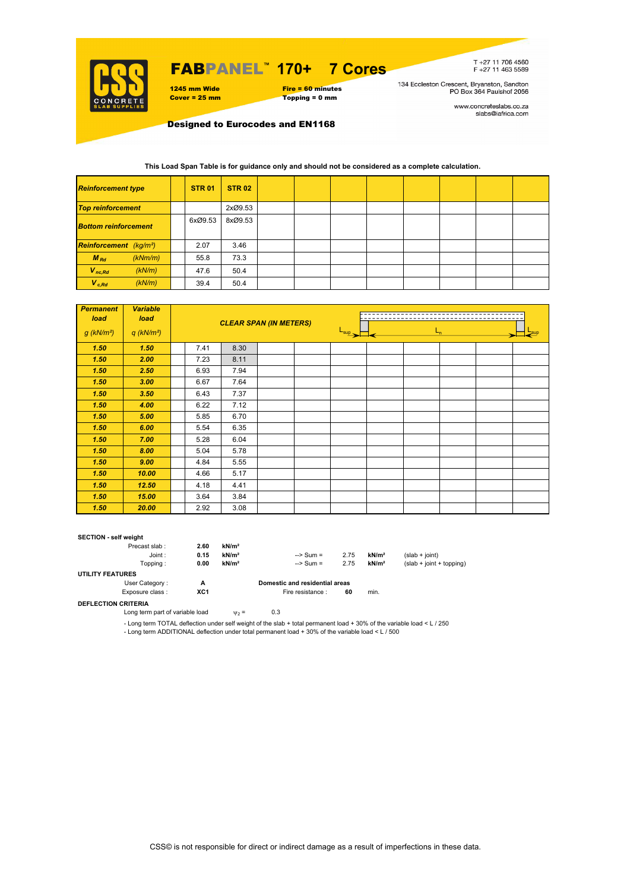

# FABPANEL**™ 170+ 7 Cores**



T+27 11 706 4560<br>F+27 11 463 5589

134 Eccleston Crescent, Bryanston, Sandton<br>PO Box 364 Paulshof 2056

www.concreteslabs.co.za<br>slabs@iafrica.com

Designed to Eurocodes and EN1168

### **This Load Span Table is for guidance only and should not be considered as a complete calculation.**

| <b>Reinforcement type</b>                 |         | <b>STR 01</b> | <b>STR 02</b> |  |  |  |  |
|-------------------------------------------|---------|---------------|---------------|--|--|--|--|
| <b>Top reinforcement</b>                  |         |               | 2xØ9.53       |  |  |  |  |
| <b>Bottom reinforcement</b>               |         | 6xØ9.53       | 8xØ9.53       |  |  |  |  |
| <b>Reinforcement</b> (kg/m <sup>2</sup> ) |         | 2.07          | 3.46          |  |  |  |  |
| $M_{Rd}$                                  | (kNm/m) | 55.8          | 73.3          |  |  |  |  |
| $V_{nc,Rd}$                               | (kN/m)  | 47.6          | 50.4          |  |  |  |  |
| $V_{c, Rd}$                               | (kN/m)  | 39.4          | 50.4          |  |  |  |  |

| <b>Permanent</b><br>load | <b>Variable</b><br>load  |      |      | <b>CLEAR SPAN (IN METERS)</b> |                             |  |  |  |  |
|--------------------------|--------------------------|------|------|-------------------------------|-----------------------------|--|--|--|--|
| $g$ (kN/m <sup>2</sup> ) | $q$ (kN/m <sup>2</sup> ) |      |      |                               | $L_{\text{sup}}$<br>$L_{n}$ |  |  |  |  |
| 1.50                     | 1.50                     | 7.41 | 8.30 |                               |                             |  |  |  |  |
| 1.50                     | 2.00                     | 7.23 | 8.11 |                               |                             |  |  |  |  |
| 1.50                     | 2.50                     | 6.93 | 7.94 |                               |                             |  |  |  |  |
| 1.50                     | 3.00                     | 6.67 | 7.64 |                               |                             |  |  |  |  |
| 1.50                     | 3.50                     | 6.43 | 7.37 |                               |                             |  |  |  |  |
| 1.50                     | 4.00                     | 6.22 | 7.12 |                               |                             |  |  |  |  |
| 1.50                     | 5.00                     | 5.85 | 6.70 |                               |                             |  |  |  |  |
| 1.50                     | 6.00                     | 5.54 | 6.35 |                               |                             |  |  |  |  |
| 1.50                     | 7.00                     | 5.28 | 6.04 |                               |                             |  |  |  |  |
| 1.50                     | 8.00                     | 5.04 | 5.78 |                               |                             |  |  |  |  |
| 1.50                     | 9.00                     | 4.84 | 5.55 |                               |                             |  |  |  |  |
| 1.50                     | 10.00                    | 4.66 | 5.17 |                               |                             |  |  |  |  |
| 1.50                     | 12.50                    | 4.18 | 4.41 |                               |                             |  |  |  |  |
| 1.50                     | 15.00                    | 3.64 | 3.84 |                               |                             |  |  |  |  |
| 1.50                     | 20.00                    | 2.92 | 3.08 |                               |                             |  |  |  |  |

#### **SECTION - self weight**

| Precast slab:           | 2.60 | kN/m <sup>2</sup> |                                |      |                   |                            |
|-------------------------|------|-------------------|--------------------------------|------|-------------------|----------------------------|
| Joint:                  | 0.15 | kN/m <sup>2</sup> | $\Rightarrow$ Sum =            | 2.75 | kN/m <sup>2</sup> | $(slab + joint)$           |
| Topping:                | 0.00 | kN/m <sup>2</sup> | $\Rightarrow$ Sum =            | 2.75 | kN/m <sup>2</sup> | $(slab + joint + topping)$ |
| <b>UTILITY FEATURES</b> |      |                   |                                |      |                   |                            |
| User Category:          | А    |                   | Domestic and residential areas |      |                   |                            |
| Exposure class:         | XC1  |                   | Fire resistance :              | 60   | min.              |                            |
|                         |      |                   |                                |      |                   |                            |

**DEFLECTION CRITERIA**

Long term part of variable load  $v_2 = 0.3$ 

- Long term TOTAL deflection under self weight of the slab + total permanent load + 30% of the variable load < L / 250 - Long term ADDITIONAL deflection under total permanent load + 30% of the variable load < L / 500